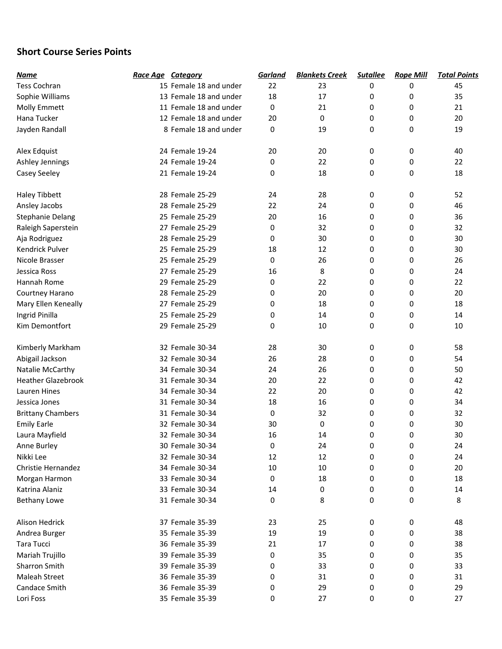## Short Course Series Points

| <u>Name</u>               | Race Age Category |                        | Garland | <b>Blankets Creek</b> | <b>Sutallee</b> | <b>Rope Mill</b> | <b>Total Points</b> |
|---------------------------|-------------------|------------------------|---------|-----------------------|-----------------|------------------|---------------------|
| <b>Tess Cochran</b>       |                   | 15 Female 18 and under | 22      | 23                    | 0               | 0                | 45                  |
| Sophie Williams           |                   | 13 Female 18 and under | 18      | 17                    | 0               | 0                | 35                  |
| Molly Emmett              |                   | 11 Female 18 and under | 0       | 21                    | 0               | 0                | 21                  |
| Hana Tucker               |                   | 12 Female 18 and under | 20      | 0                     | 0               | 0                | 20                  |
| Jayden Randall            |                   | 8 Female 18 and under  | 0       | 19                    | 0               | 0                | 19                  |
|                           |                   |                        |         |                       |                 |                  |                     |
| Alex Edquist              | 24 Female 19-24   |                        | 20      | 20                    | 0               | 0                | 40                  |
| Ashley Jennings           | 24 Female 19-24   |                        | 0       | 22                    | 0               | 0                | 22                  |
| Casey Seeley              | 21 Female 19-24   |                        | 0       | 18                    | 0               | 0                | 18                  |
| Haley Tibbett             | 28 Female 25-29   |                        | 24      | 28                    | 0               | 0                | 52                  |
| Ansley Jacobs             | 28 Female 25-29   |                        | 22      | 24                    | 0               | 0                | 46                  |
| <b>Stephanie Delang</b>   | 25 Female 25-29   |                        | 20      | 16                    | 0               | 0                | 36                  |
| Raleigh Saperstein        | 27 Female 25-29   |                        | 0       | 32                    | 0               | 0                | 32                  |
| Aja Rodriguez             | 28 Female 25-29   |                        | 0       | 30                    | 0               | 0                | 30                  |
| Kendrick Pulver           | 25 Female 25-29   |                        | 18      | 12                    | 0               | 0                | 30                  |
| Nicole Brasser            | 25 Female 25-29   |                        | 0       | 26                    | 0               | 0                | 26                  |
| Jessica Ross              | 27 Female 25-29   |                        | 16      | 8                     | 0               | 0                | 24                  |
| Hannah Rome               | 29 Female 25-29   |                        | 0       | 22                    | 0               | 0                | 22                  |
| Courtney Harano           | 28 Female 25-29   |                        | 0       | 20                    | 0               | 0                | 20                  |
| Mary Ellen Keneally       | 27 Female 25-29   |                        | 0       | 18                    | 0               | 0                | 18                  |
| Ingrid Pinilla            | 25 Female 25-29   |                        | 0       | 14                    | 0               | 0                | 14                  |
| Kim Demontfort            | 29 Female 25-29   |                        | 0       | 10                    | 0               | 0                | 10                  |
|                           |                   |                        |         |                       |                 |                  |                     |
| Kimberly Markham          | 32 Female 30-34   |                        | 28      | 30                    | 0               | 0                | 58                  |
| Abigail Jackson           | 32 Female 30-34   |                        | 26      | 28                    | 0               | 0                | 54                  |
| Natalie McCarthy          | 34 Female 30-34   |                        | 24      | 26                    | 0               | 0                | 50                  |
| <b>Heather Glazebrook</b> | 31 Female 30-34   |                        | 20      | 22                    | 0               | 0                | 42                  |
| <b>Lauren Hines</b>       | 34 Female 30-34   |                        | 22      | 20                    | 0               | 0                | 42                  |
| Jessica Jones             | 31 Female 30-34   |                        | 18      | 16                    | 0               | 0                | 34                  |
| <b>Brittany Chambers</b>  | 31 Female 30-34   |                        | 0       | 32                    | 0               | 0                | 32                  |
| <b>Emily Earle</b>        | 32 Female 30-34   |                        | 30      | 0                     | 0               | 0                | 30                  |
| Laura Mayfield            | 32 Female 30-34   |                        | 16      | 14                    | 0               | 0                | 30                  |
| Anne Burley               | 30 Female 30-34   |                        | 0       | 24                    | 0               | 0                | 24                  |
| Nikki Lee                 | 32 Female 30-34   |                        | 12      | 12                    | 0               | 0                | 24                  |
| Christie Hernandez        | 34 Female 30-34   |                        | 10      | $10\,$                | 0               | 0                | 20                  |
| Morgan Harmon             | 33 Female 30-34   |                        | 0       | 18                    | 0               | 0                | 18                  |
| Katrina Alaniz            | 33 Female 30-34   |                        | 14      | 0                     | 0               | 0                | 14                  |
| <b>Bethany Lowe</b>       | 31 Female 30-34   |                        | 0       | 8                     | 0               | 0                | 8                   |
|                           |                   |                        |         |                       |                 |                  |                     |
| Alison Hedrick            | 37 Female 35-39   |                        | 23      | 25                    | 0               | 0                | 48                  |
| Andrea Burger             | 35 Female 35-39   |                        | 19      | 19                    | 0               | 0                | 38                  |
| Tara Tucci                | 36 Female 35-39   |                        | 21      | 17                    | 0               | 0                | 38                  |
| Mariah Trujillo           | 39 Female 35-39   |                        | 0       | 35                    | 0               | 0                | 35                  |
| Sharron Smith             | 39 Female 35-39   |                        | 0       | 33                    | 0               | 0                | 33                  |
| <b>Maleah Street</b>      | 36 Female 35-39   |                        | 0       | 31                    | 0               | 0                | 31                  |
| Candace Smith             | 36 Female 35-39   |                        | 0       | 29                    | 0               | 0                | 29                  |
| Lori Foss                 | 35 Female 35-39   |                        | 0       | 27                    | 0               | 0                | 27                  |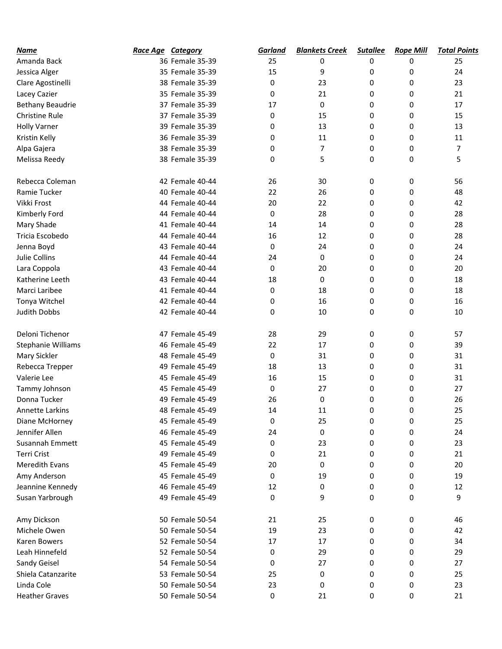| <b>Name</b>             | <b>Race Age Category</b> |                 | <b>Garland</b> | <b>Blankets Creek</b> | <b>Sutallee</b> | <b>Rope Mill</b> | <b>Total Points</b> |
|-------------------------|--------------------------|-----------------|----------------|-----------------------|-----------------|------------------|---------------------|
| Amanda Back             |                          | 36 Female 35-39 | 25             | 0                     | 0               | 0                | 25                  |
| Jessica Alger           |                          | 35 Female 35-39 | 15             | 9                     | 0               | 0                | 24                  |
| Clare Agostinelli       |                          | 38 Female 35-39 | 0              | 23                    | 0               | 0                | 23                  |
| Lacey Cazier            |                          | 35 Female 35-39 | 0              | 21                    | 0               | 0                | 21                  |
| <b>Bethany Beaudrie</b> |                          | 37 Female 35-39 | 17             | 0                     | 0               | 0                | 17                  |
| <b>Christine Rule</b>   |                          | 37 Female 35-39 | 0              | 15                    | 0               | 0                | 15                  |
| <b>Holly Varner</b>     |                          | 39 Female 35-39 | 0              | 13                    | 0               | 0                | 13                  |
| Kristin Kelly           |                          | 36 Female 35-39 | 0              | 11                    | 0               | 0                | 11                  |
| Alpa Gajera             |                          | 38 Female 35-39 | 0              | $\overline{7}$        | 0               | 0                | $\overline{7}$      |
| Melissa Reedy           |                          | 38 Female 35-39 | 0              | 5                     | $\mathbf 0$     | 0                | 5                   |
| Rebecca Coleman         |                          | 42 Female 40-44 | 26             | 30                    | 0               | 0                | 56                  |
| Ramie Tucker            |                          | 40 Female 40-44 | 22             | 26                    | 0               | 0                | 48                  |
| Vikki Frost             |                          | 44 Female 40-44 | 20             | 22                    | 0               | 0                | 42                  |
| Kimberly Ford           |                          | 44 Female 40-44 | 0              | 28                    | 0               | 0                | 28                  |
| Mary Shade              |                          | 41 Female 40-44 | 14             | 14                    | 0               | 0                | 28                  |
| Tricia Escobedo         |                          | 44 Female 40-44 | 16             | 12                    | 0               | 0                | 28                  |
| Jenna Boyd              |                          | 43 Female 40-44 | 0              | 24                    | 0               | 0                | 24                  |
| Julie Collins           |                          | 44 Female 40-44 | 24             | 0                     | 0               | 0                | 24                  |
| Lara Coppola            |                          | 43 Female 40-44 | 0              | 20                    | 0               | 0                | 20                  |
| Katherine Leeth         |                          | 43 Female 40-44 | 18             | 0                     | 0               | 0                | 18                  |
| Marci Laribee           |                          | 41 Female 40-44 | 0              | 18                    | 0               | 0                | 18                  |
| Tonya Witchel           |                          | 42 Female 40-44 | 0              | 16                    | 0               | 0                | 16                  |
| <b>Judith Dobbs</b>     |                          | 42 Female 40-44 | 0              | 10                    | $\mathbf 0$     | 0                | 10                  |
| Deloni Tichenor         |                          | 47 Female 45-49 | 28             | 29                    | 0               | 0                | 57                  |
| Stephanie Williams      |                          | 46 Female 45-49 | 22             | 17                    | 0               | 0                | 39                  |
| Mary Sickler            |                          | 48 Female 45-49 | 0              | 31                    | 0               | 0                | 31                  |
| Rebecca Trepper         |                          | 49 Female 45-49 | 18             | 13                    | 0               | 0                | 31                  |
| Valerie Lee             |                          | 45 Female 45-49 | 16             | 15                    | 0               | 0                | 31                  |
| Tammy Johnson           |                          | 45 Female 45-49 | 0              | 27                    | 0               | 0                | 27                  |
| Donna Tucker            |                          | 49 Female 45-49 | 26             | 0                     | 0               | 0                | 26                  |
| Annette Larkins         |                          | 48 Female 45-49 | 14             | 11                    | 0               | 0                | 25                  |
| Diane McHorney          |                          | 45 Female 45-49 | 0              | 25                    | 0               | 0                | 25                  |
| Jennifer Allen          |                          | 46 Female 45-49 | 24             | $\pmb{0}$             | 0               | 0                | 24                  |
| Susannah Emmett         |                          | 45 Female 45-49 | 0              | 23                    | 0               | 0                | 23                  |
| Terri Crist             |                          | 49 Female 45-49 | 0              | 21                    | 0               | 0                | 21                  |
| Meredith Evans          |                          | 45 Female 45-49 | 20             | 0                     | 0               | 0                | 20                  |
| Amy Anderson            |                          | 45 Female 45-49 | 0              | 19                    | 0               | 0                | 19                  |
| Jeannine Kennedy        |                          | 46 Female 45-49 | 12             | 0                     | 0               | 0                | 12                  |
| Susan Yarbrough         |                          | 49 Female 45-49 | $\mathbf 0$    | 9                     | 0               | 0                | 9                   |
| Amy Dickson             |                          | 50 Female 50-54 | 21             | 25                    | 0               | 0                | 46                  |
| Michele Owen            |                          | 50 Female 50-54 | 19             | 23                    | 0               | 0                | 42                  |
| Karen Bowers            |                          | 52 Female 50-54 | 17             | 17                    | 0               | 0                | 34                  |
| Leah Hinnefeld          |                          | 52 Female 50-54 | 0              | 29                    | 0               | 0                | 29                  |
| Sandy Geisel            |                          | 54 Female 50-54 | 0              | 27                    | 0               | 0                | 27                  |
| Shiela Catanzarite      |                          | 53 Female 50-54 | 25             | 0                     | 0               | 0                | 25                  |
| Linda Cole              |                          | 50 Female 50-54 | 23             | 0                     | 0               | 0                | 23                  |
| <b>Heather Graves</b>   |                          | 50 Female 50-54 | $\pmb{0}$      | 21                    | 0               | 0                | 21                  |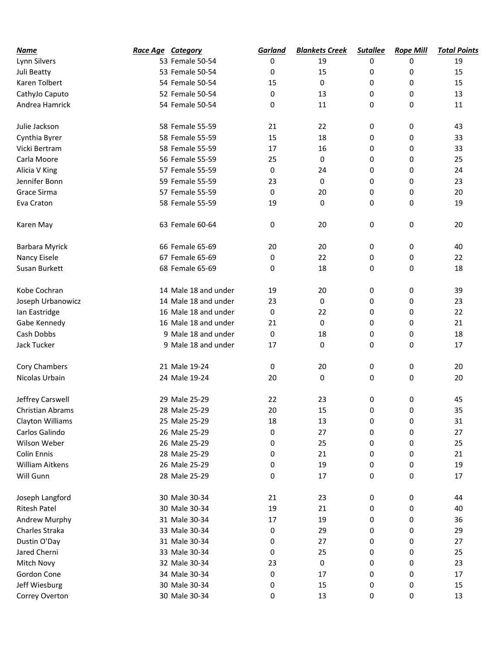| <u>Name</u>            | Race Age Category |                      | Garland | <b>Blankets Creek</b> | <b>Sutallee</b> | <b>Rope Mill</b> | <b>Total Points</b> |
|------------------------|-------------------|----------------------|---------|-----------------------|-----------------|------------------|---------------------|
| Lynn Silvers           |                   | 53 Female 50-54      | 0       | 19                    | 0               | 0                | 19                  |
| Juli Beatty            |                   | 53 Female 50-54      | 0       | 15                    | 0               | 0                | 15                  |
| Karen Tolbert          |                   | 54 Female 50-54      | 15      | 0                     | 0               | 0                | 15                  |
| CathyJo Caputo         |                   | 52 Female 50-54      | 0       | 13                    | 0               | 0                | 13                  |
| Andrea Hamrick         |                   | 54 Female 50-54      | 0       | 11                    | 0               | 0                | 11                  |
| Julie Jackson          |                   | 58 Female 55-59      | 21      | 22                    | 0               | 0                | 43                  |
| Cynthia Byrer          |                   | 58 Female 55-59      | 15      | 18                    | 0               | 0                | 33                  |
| Vicki Bertram          |                   | 58 Female 55-59      | 17      | 16                    | 0               | 0                | 33                  |
| Carla Moore            |                   | 56 Female 55-59      | 25      | 0                     | 0               | 0                | 25                  |
| Alicia V King          |                   | 57 Female 55-59      | 0       | 24                    | 0               | 0                | 24                  |
| Jennifer Bonn          |                   | 59 Female 55-59      | 23      | 0                     | 0               | 0                | 23                  |
| Grace Sirma            |                   | 57 Female 55-59      | 0       | 20                    | 0               | 0                | 20                  |
| Eva Craton             |                   | 58 Female 55-59      | 19      | 0                     | 0               | 0                | 19                  |
| Karen May              |                   | 63 Female 60-64      | 0       | 20                    | 0               | 0                | 20                  |
| <b>Barbara Myrick</b>  |                   | 66 Female 65-69      | 20      | 20                    | 0               | 0                | 40                  |
| Nancy Eisele           |                   | 67 Female 65-69      | 0       | 22                    | 0               | 0                | 22                  |
| Susan Burkett          |                   | 68 Female 65-69      | 0       | 18                    | 0               | 0                | 18                  |
| Kobe Cochran           |                   | 14 Male 18 and under | 19      | 20                    | 0               | 0                | 39                  |
| Joseph Urbanowicz      |                   | 14 Male 18 and under | 23      | 0                     | 0               | 0                | 23                  |
| lan Eastridge          |                   | 16 Male 18 and under | 0       | 22                    | 0               | 0                | 22                  |
| Gabe Kennedy           |                   | 16 Male 18 and under | 21      | 0                     | 0               | 0                | 21                  |
| Cash Dobbs             |                   | 9 Male 18 and under  | 0       | 18                    | 0               | 0                | 18                  |
| Jack Tucker            |                   | 9 Male 18 and under  | 17      | 0                     | 0               | 0                | 17                  |
| Cory Chambers          |                   | 21 Male 19-24        | 0       | 20                    | 0               | 0                | 20                  |
| Nicolas Urbain         |                   | 24 Male 19-24        | 20      | 0                     | 0               | 0                | 20                  |
| Jeffrey Carswell       |                   | 29 Male 25-29        | 22      | 23                    | 0               | 0                | 45                  |
| Christian Abrams       |                   | 28 Male 25-29        | 20      | 15                    | 0               | 0                | 35                  |
| Clayton Williams       |                   | 25 Male 25-29        | 18      | 13                    | 0               | 0                | 31                  |
| Carlos Galindo         |                   | 26 Male 25-29        | 0       | 27                    | 0               | 0                | 27                  |
| Wilson Weber           |                   | 26 Male 25-29        | 0       | 25                    | 0               | 0                | 25                  |
| Colin Ennis            |                   | 28 Male 25-29        | 0       | 21                    | 0               | 0                | 21                  |
| <b>William Aitkens</b> |                   | 26 Male 25-29        | 0       | 19                    | 0               | 0                | 19                  |
| Will Gunn              |                   | 28 Male 25-29        | 0       | 17                    | 0               | 0                | 17                  |
| Joseph Langford        |                   | 30 Male 30-34        | 21      | 23                    | 0               | 0                | 44                  |
| <b>Ritesh Patel</b>    |                   | 30 Male 30-34        | 19      | 21                    | 0               | 0                | 40                  |
| Andrew Murphy          |                   | 31 Male 30-34        | 17      | 19                    | 0               | 0                | 36                  |
| Charles Straka         |                   | 33 Male 30-34        | 0       | 29                    | 0               | 0                | 29                  |
| Dustin O'Day           |                   | 31 Male 30-34        | 0       | 27                    | 0               | 0                | 27                  |
| Jared Cherni           |                   | 33 Male 30-34        | 0       | 25                    | 0               | 0                | 25                  |
| Mitch Novy             |                   | 32 Male 30-34        | 23      | 0                     | 0               | 0                | 23                  |
| Gordon Cone            |                   | 34 Male 30-34        | 0       | 17                    | 0               | 0                | 17                  |
| Jeff Wiesburg          |                   | 30 Male 30-34        | 0       | 15                    | 0               | 0                | 15                  |
| Correy Overton         |                   | 30 Male 30-34        | 0       | 13                    | 0               | 0                | 13                  |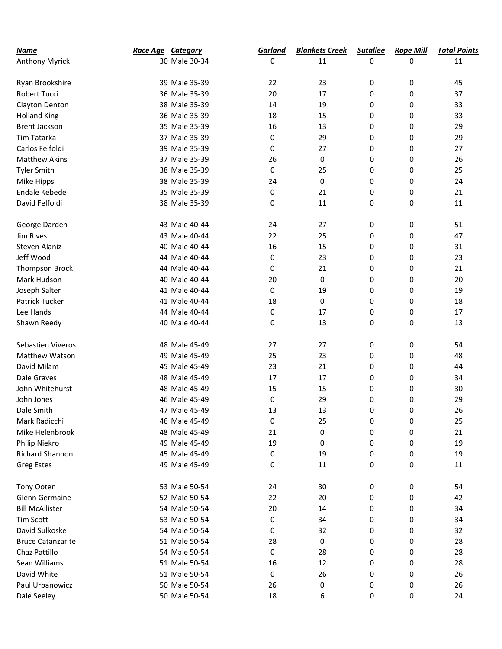| <u>Name</u>              | <b>Race Age Category</b> |               | Garland | <b>Blankets Creek</b> | <b>Sutallee</b> | <b>Rope Mill</b> | <b>Total Points</b> |
|--------------------------|--------------------------|---------------|---------|-----------------------|-----------------|------------------|---------------------|
| Anthony Myrick           |                          | 30 Male 30-34 | 0       | 11                    | 0               | 0                | 11                  |
|                          |                          |               |         |                       |                 |                  |                     |
| Ryan Brookshire          |                          | 39 Male 35-39 | 22      | 23                    | 0               | 0                | 45                  |
| Robert Tucci             |                          | 36 Male 35-39 | 20      | 17                    | 0               | 0                | 37                  |
| Clayton Denton           |                          | 38 Male 35-39 | 14      | 19                    | 0               | 0                | 33                  |
| <b>Holland King</b>      |                          | 36 Male 35-39 | 18      | 15                    | 0               | 0                | 33                  |
| <b>Brent Jackson</b>     |                          | 35 Male 35-39 | 16      | 13                    | 0               | 0                | 29                  |
| Tim Tatarka              |                          | 37 Male 35-39 | 0       | 29                    | 0               | 0                | 29                  |
| Carlos Felfoldi          |                          | 39 Male 35-39 | 0       | 27                    | 0               | 0                | 27                  |
| <b>Matthew Akins</b>     |                          | 37 Male 35-39 | 26      | 0                     | 0               | 0                | 26                  |
| <b>Tyler Smith</b>       |                          | 38 Male 35-39 | 0       | 25                    | 0               | 0                | 25                  |
| Mike Hipps               |                          | 38 Male 35-39 | 24      | 0                     | 0               | 0                | 24                  |
| Endale Kebede            |                          | 35 Male 35-39 | 0       | 21                    | 0               | 0                | 21                  |
| David Felfoldi           |                          | 38 Male 35-39 | 0       | 11                    | 0               | 0                | 11                  |
| George Darden            |                          | 43 Male 40-44 | 24      | 27                    | 0               | 0                | 51                  |
| Jim Rives                |                          | 43 Male 40-44 | 22      | 25                    | 0               | 0                | 47                  |
| Steven Alaniz            |                          | 40 Male 40-44 | 16      | 15                    | 0               | 0                | 31                  |
| Jeff Wood                |                          | 44 Male 40-44 | 0       | 23                    | 0               | 0                | 23                  |
| Thompson Brock           |                          | 44 Male 40-44 | 0       | 21                    | 0               | 0                | 21                  |
| Mark Hudson              |                          | 40 Male 40-44 | 20      | 0                     | 0               | 0                | 20                  |
| Joseph Salter            |                          | 41 Male 40-44 | 0       | 19                    | 0               | 0                | 19                  |
| Patrick Tucker           |                          | 41 Male 40-44 | 18      | 0                     | 0               | 0                | 18                  |
| Lee Hands                |                          | 44 Male 40-44 | 0       | 17                    | 0               | 0                | 17                  |
| Shawn Reedy              |                          | 40 Male 40-44 | 0       | 13                    | 0               | 0                | 13                  |
| Sebastien Viveros        |                          | 48 Male 45-49 | 27      | 27                    | 0               | 0                | 54                  |
| Matthew Watson           |                          | 49 Male 45-49 | 25      | 23                    | 0               | 0                | 48                  |
| David Milam              |                          | 45 Male 45-49 | 23      | 21                    | 0               | 0                | 44                  |
| Dale Graves              |                          | 48 Male 45-49 | 17      | 17                    | 0               | 0                | 34                  |
| John Whitehurst          |                          | 48 Male 45-49 | 15      | 15                    | 0               | 0                | 30                  |
| John Jones               |                          | 46 Male 45-49 | 0       | 29                    | 0               | 0                | 29                  |
| Dale Smith               |                          | 47 Male 45-49 | 13      | 13                    | 0               | 0                | 26                  |
| Mark Radicchi            |                          | 46 Male 45-49 | 0       | 25                    | 0               | 0                | 25                  |
| Mike Helenbrook          |                          | 48 Male 45-49 | 21      | 0                     | 0               | 0                | 21                  |
| Philip Niekro            |                          | 49 Male 45-49 | 19      | 0                     | 0               | 0                | 19                  |
| Richard Shannon          |                          | 45 Male 45-49 | 0       | 19                    | 0               | 0                | 19                  |
| <b>Greg Estes</b>        |                          | 49 Male 45-49 | 0       | 11                    | 0               | 0                | 11                  |
| <b>Tony Ooten</b>        |                          | 53 Male 50-54 | 24      | 30                    | 0               | 0                | 54                  |
| Glenn Germaine           |                          | 52 Male 50-54 | 22      | 20                    | 0               | 0                | 42                  |
| <b>Bill McAllister</b>   |                          | 54 Male 50-54 | 20      | 14                    | 0               | 0                | 34                  |
| Tim Scott                |                          | 53 Male 50-54 | 0       | 34                    | 0               | 0                | 34                  |
| David Sulkoske           |                          | 54 Male 50-54 | 0       | 32                    | 0               | 0                | 32                  |
| <b>Bruce Catanzarite</b> |                          | 51 Male 50-54 | 28      | 0                     | 0               | 0                | 28                  |
| Chaz Pattillo            |                          | 54 Male 50-54 | 0       | 28                    | 0               | 0                | 28                  |
| Sean Williams            |                          | 51 Male 50-54 | 16      | 12                    | 0               | 0                | 28                  |
| David White              |                          | 51 Male 50-54 | 0       | 26                    | 0               | 0                | 26                  |
| Paul Urbanowicz          |                          | 50 Male 50-54 | 26      | 0                     | 0               | 0                | 26                  |
| Dale Seeley              |                          | 50 Male 50-54 | 18      | 6                     | 0               | 0                | 24                  |
|                          |                          |               |         |                       |                 |                  |                     |